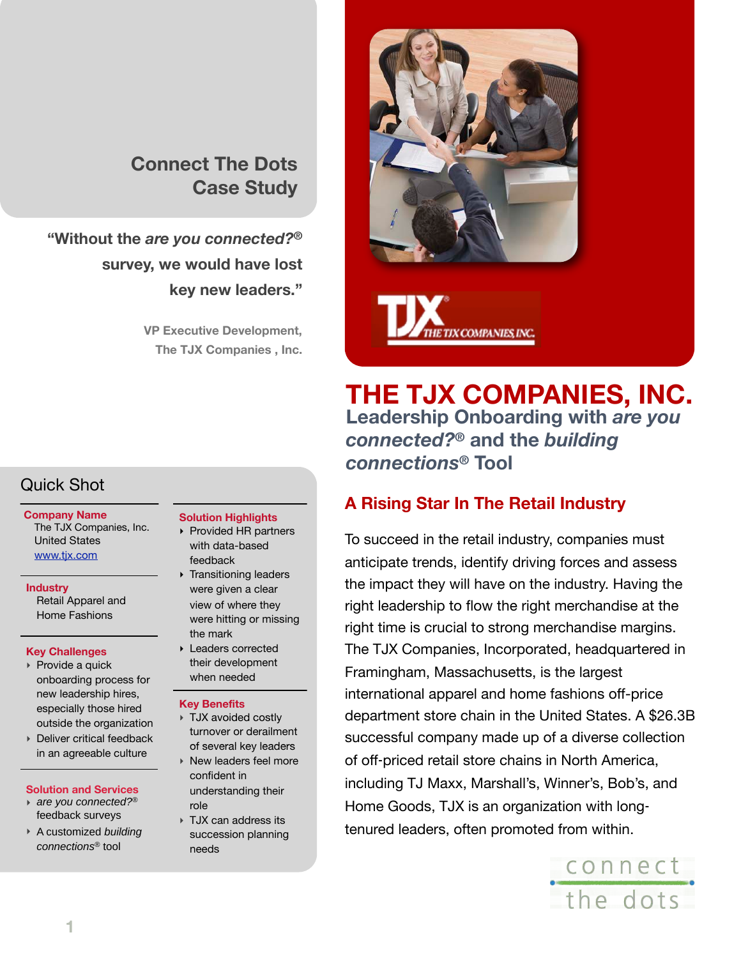# **Connect The Dots Case Study**

# **"Without the** *are you connected?®* **survey, we would have lost key new leaders."**

**VP Executive Development, The TJX Companies , Inc.**

# Quick Shot

#### **Company Name** The TJX Companies, Inc. United States [www.tjx.com](http://www.tjx.com)

**Industry** Retail Apparel and Home Fashions

#### **Key Challenges**

- ‣ Provide a quick onboarding process for new leadership hires, especially those hired outside the organization
- ‣ Deliver critical feedback in an agreeable culture

#### **Solution and Services**

- ‣ *are you connected?®* feedback surveys
- ‣ A customized *building connections®* tool

- **Solution Highlights** ‣ Provided HR partners
- with data-based feedback ‣ Transitioning leaders were given a clear
- view of where they were hitting or missing the mark
- ‣ Leaders corrected their development when needed

#### **Key Benefits**

- ‣ TJX avoided costly turnover or derailment of several key leaders
- ‣ New leaders feel more confident in understanding their role
- ‣ TJX can address its succession planning needs



**THE TJX COMPANIES, INC. Leadership Onboarding with** *are you connected?®* **and the** *building connections®* **Tool**

## **A Rising Star In The Retail Industry**

To succeed in the retail industry, companies must anticipate trends, identify driving forces and assess the impact they will have on the industry. Having the right leadership to flow the right merchandise at the right time is crucial to strong merchandise margins. The TJX Companies, Incorporated, headquartered in Framingham, Massachusetts, is the largest international apparel and home fashions off-price department store chain in the United States. A \$26.3B successful company made up of a diverse collection of off‐priced retail store chains in North America, including TJ Maxx, Marshall's, Winner's, Bob's, and Home Goods, TJX is an organization with long‐ tenured leaders, often promoted from within.

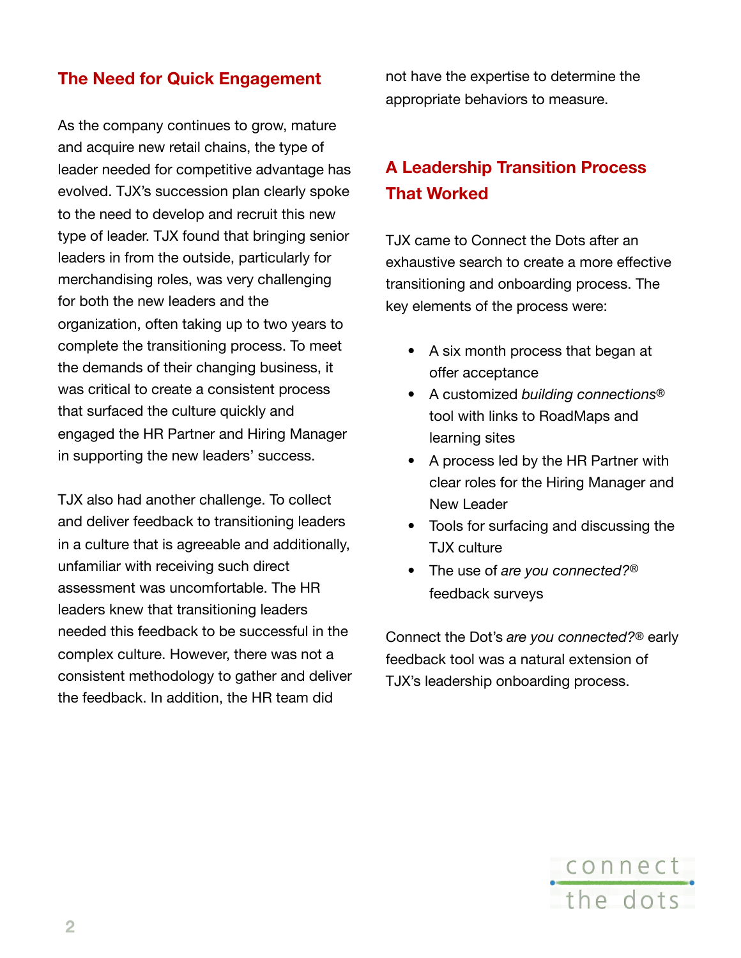## **The Need for Quick Engagement**

As the company continues to grow, mature and acquire new retail chains, the type of leader needed for competitive advantage has evolved. TJX's succession plan clearly spoke to the need to develop and recruit this new type of leader. TJX found that bringing senior leaders in from the outside, particularly for merchandising roles, was very challenging for both the new leaders and the organization, often taking up to two years to complete the transitioning process. To meet the demands of their changing business, it was critical to create a consistent process that surfaced the culture quickly and engaged the HR Partner and Hiring Manager in supporting the new leaders' success.

TJX also had another challenge. To collect and deliver feedback to transitioning leaders in a culture that is agreeable and additionally, unfamiliar with receiving such direct assessment was uncomfortable. The HR leaders knew that transitioning leaders needed this feedback to be successful in the complex culture. However, there was not a consistent methodology to gather and deliver the feedback. In addition, the HR team did

not have the expertise to determine the appropriate behaviors to measure.

# **A Leadership Transition Process That Worked**

TJX came to Connect the Dots after an exhaustive search to create a more effective transitioning and onboarding process. The key elements of the process were:

- A six month process that began at offer acceptance
- A customized *building connections*® tool with links to RoadMaps and learning sites
- A process led by the HR Partner with clear roles for the Hiring Manager and New Leader
- Tools for surfacing and discussing the TJX culture
- The use of *are you connected?®* feedback surveys

Connect the Dot's *are you connected?®* early feedback tool was a natural extension of TJX's leadership onboarding process.